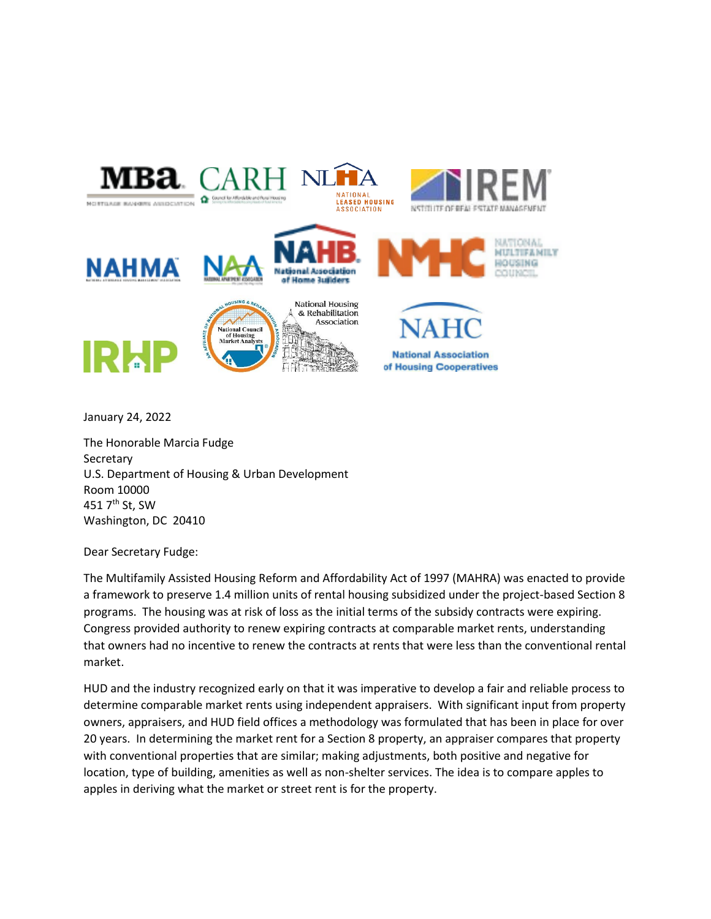

January 24, 2022

The Honorable Marcia Fudge **Secretary** U.S. Department of Housing & Urban Development Room 10000 451 7<sup>th</sup> St, SW Washington, DC 20410

Dear Secretary Fudge:

The Multifamily Assisted Housing Reform and Affordability Act of 1997 (MAHRA) was enacted to provide a framework to preserve 1.4 million units of rental housing subsidized under the project-based Section 8 programs. The housing was at risk of loss as the initial terms of the subsidy contracts were expiring. Congress provided authority to renew expiring contracts at comparable market rents, understanding that owners had no incentive to renew the contracts at rents that were less than the conventional rental market.

HUD and the industry recognized early on that it was imperative to develop a fair and reliable process to determine comparable market rents using independent appraisers. With significant input from property owners, appraisers, and HUD field offices a methodology was formulated that has been in place for over 20 years. In determining the market rent for a Section 8 property, an appraiser compares that property with conventional properties that are similar; making adjustments, both positive and negative for location, type of building, amenities as well as non-shelter services. The idea is to compare apples to apples in deriving what the market or street rent is for the property.